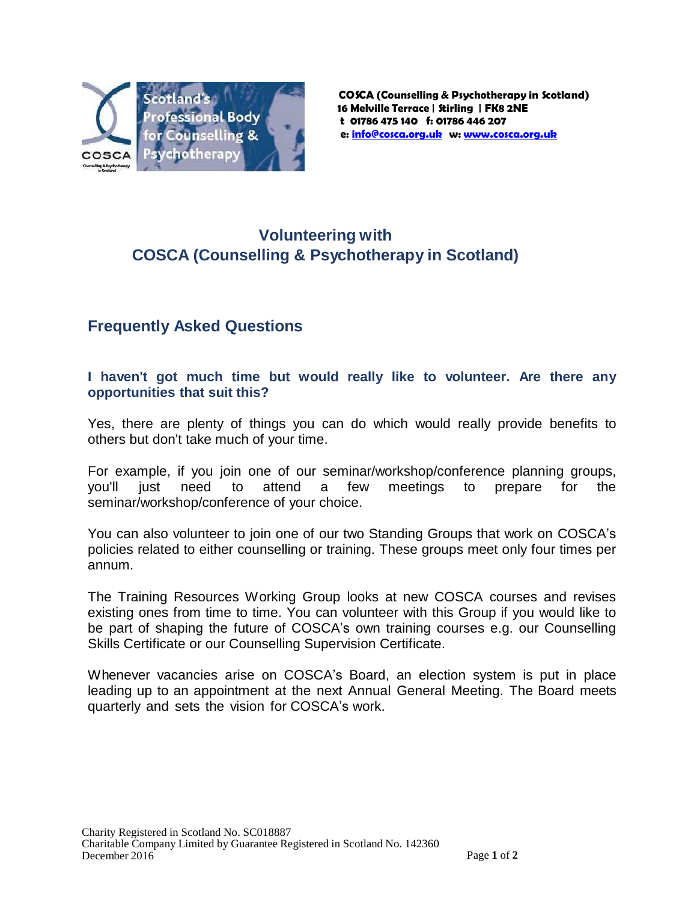

**COSCA (Counselling & Psychotherapy in Scotland) 16 Melville Terrace | Stirling | FK8 2NE t 01786 475 140 f: 01786 446 207 e: [info@cosca.org.uk](mailto:info@cosca.org.uk) w: [www.cosca.org.uk](http://www.cosca.org.uk/)**

# **Volunteering with COSCA (Counselling & Psychotherapy in Scotland)**

## **Frequently Asked Questions**

## **I haven't got much time but would really like to volunteer. Are there any opportunities that suit this?**

Yes, there are plenty of things you can do which would really provide benefits to others but don't take much of your time.

For example, if you join one of our seminar/workshop/conference planning groups, you'll just need to attend a few meetings to prepare for the seminar/workshop/conference of your choice.

You can also volunteer to join one of our two Standing Groups that work on COSCA's policies related to either counselling or training. These groups meet only four times per annum.

The Training Resources Working Group looks at new COSCA courses and revises existing ones from time to time. You can volunteer with this Group if you would like to be part of shaping the future of COSCA's own training courses e.g. our Counselling Skills Certificate or our Counselling Supervision Certificate.

Whenever vacancies arise on COSCA's Board, an election system is put in place leading up to an appointment at the next Annual General Meeting. The Board meets quarterly and sets the vision for COSCA's work.